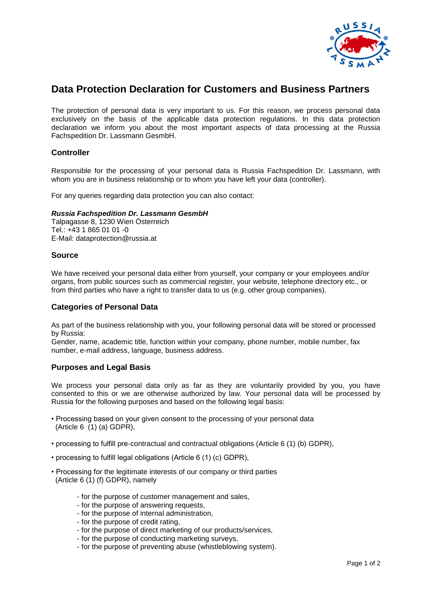

# **Data Protection Declaration for Customers and Business Partners**

The protection of personal data is very important to us. For this reason, we process personal data exclusively on the basis of the applicable data protection regulations. In this data protection declaration we inform you about the most important aspects of data processing at the Russia Fachspedition Dr. Lassmann GesmbH.

## **Controller**

Responsible for the processing of your personal data is Russia Fachspedition Dr. Lassmann, with whom you are in business relationship or to whom you have left your data (controller).

For any queries regarding data protection you can also contact:

#### *Russia Fachspedition Dr. Lassmann GesmbH*

Talpagasse 8, 1230 Wien Österreich Tel.: +43 1 865 01 01 -0 E-Mail: dataprotection@russia.at

#### **Source**

We have received your personal data either from yourself, your company or your employees and/or organs, from public sources such as commercial register, your website, telephone directory etc., or from third parties who have a right to transfer data to us (e.g. other group companies).

#### **Categories of Personal Data**

As part of the business relationship with you, your following personal data will be stored or processed by Russia:

Gender, name, academic title, function within your company, phone number, mobile number, fax number, e-mail address, language, business address.

### **Purposes and Legal Basis**

We process your personal data only as far as they are voluntarily provided by you, you have consented to this or we are otherwise authorized by law. Your personal data will be processed by Russia for the following purposes and based on the following legal basis:

- Processing based on your given consent to the processing of your personal data (Article 6 (1) (a) GDPR),
- processing to fulfill pre-contractual and contractual obligations (Article 6 (1) (b) GDPR),
- processing to fulfill legal obligations (Article 6 (1) (c) GDPR),
- Processing for the legitimate interests of our company or third parties (Article 6 (1) (f) GDPR), namely
	- for the purpose of customer management and sales,
	- for the purpose of answering requests,
	- for the purpose of internal administration,
	- for the purpose of credit rating,
	- for the purpose of direct marketing of our products/services,
	- for the purpose of conducting marketing surveys,
	- for the purpose of preventing abuse (whistleblowing system).